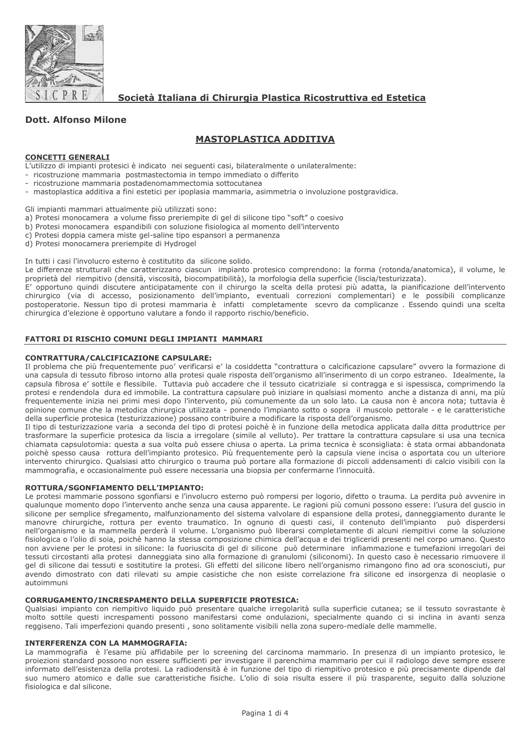

Società Italiana di Chirurgia Plastica Ricostruttiva ed Estetica

# **Dott. Alfonso Milone**

# **MASTOPLASTICA ADDITIVA**

### **CONCETTI GENERALI**

L'utilizzo di impianti protesici è indicato nei seguenti casi, bilateralmente o unilateralmente:

- ricostruzione mammaria postmastectomia in tempo immediato o differito
- ricostruzione mammaria postadenomammectomia sottocutanea
- mastoplastica additiva a fini estetici per ipoplasia mammaria, asimmetria o involuzione postgravidica.

Gli impianti mammari attualmente più utilizzati sono:

- a) Protesi monocamera a volume fisso preriempite di gel di silicone tipo "soft" o coesivo
- b) Protesi monocamera espandibili con soluzione fisiologica al momento dell'intervento
- c) Protesi doppia camera miste gel-saline tipo espansori a permanenza
- d) Protesi monocamera preriempite di Hydrogel

In tutti i casi l'involucro esterno è costitutito da silicone solido.

Le differenze strutturali che caratterizzano ciascun impianto protesico comprendono: la forma (rotonda/anatomica), il volume, le proprietà del riempitivo (densità, viscosità, biocompatibilità), la morfologia della superficie (liscia/testurizzata).

E' opportuno quindi discutere anticipatamente con il chirurgo la scelta della protesi più adatta, la pianificazione dell'intervento chirurgico (via di accesso, posizionamento dell'impianto, eventuali correzioni complementari) e le possibili complicanze<br>postoperatorie. Nessun tipo di protesi mammaria è infatti completamente scevro da complicanze . Essen chirurgica d'elezione è opportuno valutare a fondo il rapporto rischio/beneficio.

### FATTORI DI RISCHIO COMUNI DEGLI IMPIANTI MAMMARI

#### **CONTRATTURA/CALCIFICAZIONE CAPSULARE:**

Il problema che più frequentemente puo' verificarsi e' la cosiddetta "contrattura o calcificazione capsulare" ovvero la formazione di una capsula di tessuto fibroso intorno alla protesi quale risposta dell'organismo all'inserimento di un corpo estraneo. Idealmente, la capsula fibrosa e' sottile e flessibile. Tuttavia può accadere che il tessuto cicatriziale si contragga e si ispessisca, comprimendo la protesi e rendendola dura ed immobile. La contrattura capsulare può iniziare in qualsiasi momento anche a distanza di anni, ma più frequentemente inizia nei primi mesi dopo l'intervento, più comunemente da un solo lato. La causa non è ancora nota; tuttavia è opinione comune che la metodica chirurgica utilizzata - ponendo l'impianto sotto o sopra il muscolo pettorale - e le caratteristiche della superficie protesica (testurizzazione) possano contribuire a modificare la risposta dell'organismo.

Il tipo di testurizzazione varia a seconda del tipo di protesi poichè è in funzione della metodica applicata dalla ditta produttrice per trasformare la superficie protesica da liscia a irregolare (simile al velluto). Per trattare la contrattura capsulare si usa una tecnica chiamata capsulotomia: questa a sua volta può essere chiusa o aperta. La prima tecnica è sconsigliata: è stata ormai abbandonata poichè spesso causa rottura dell'impianto protesico. Più frequentemente però la capsula viene incisa o asportata cou un ulteriore intervento chirurgico. Qualsiasi atto chirurgico o trauma può portare alla formazione di piccoli addensamenti di calcio visibili con la mammografia, e occasionalmente può essere necessaria una biopsia per confermarne l'innocuità.

### ROTTURA/SGONFIAMENTO DELL'IMPIANTO:

Le protesi mammarie possono sgonfiarsi e l'involucro esterno può rompersi per logorio, difetto o trauma. La perdita può avvenire in gualunque momento dopo l'intervento anche senza una causa apparente. Le ragioni più comuni possono essere: l'usura del quscio in silicone per semplice sfregamento, malfunzionamento del sistema valvolare di espansione della protesi, danneggiamento durante le manovre chirurgiche, rottura per evento traumatico. In ognuno di questi casi, il contenuto dell'impianto può disperdersi nell'organismo e la mammella perderà il volume. L'organismo può liberarsi completamente di alcuni riempitivi come la soluzione fisiologica o l'olio di soia, poichè hanno la stessa composizione chimica dell'acqua e dei trigliceridi presenti nel corpo umano. Questo non avviene per le protesi in silicone: la fuoriuscita di gel di silicone può determinare infiammazione e tumefazioni irregolari dei tessuti circostanti alla protesi danneggiata sino alla formazione di granulomi (siliconomi). In questo caso è necessario rimuovere il gel di silicone dai tessuti e sostitutire la protesi. Gli effetti del silicone libero nell'organismo rimangono fino ad ora sconosciuti, pur avendo dimostrato con dati rilevati su ampie casistiche che non esiste correlazione fra silicone ed insorgenza di neoplasie o autoimmuni

# **CORRUGAMENTO/INCRESPAMENTO DELLA SUPERFICIE PROTESICA:**

Qualsiasi impianto con riempitivo liquido può presentare qualche irregolarità sulla superficie cutanea; se il tessuto sovrastante è molto sottile questi increspamenti possono manifestarsi come ondulazioni, specialmente quando ci si inclina in avanti senza reggiseno. Tali imperfezioni quando presenti, sono solitamente visibili nella zona supero-mediale delle mammelle.

### **INTERFERENZA CON LA MAMMOGRAFIA:**

La mammografia è l'esame più affidabile per lo screening del carcinoma mammario. In presenza di un impianto protesico, le proiezioni standard possono non essere sufficienti per investigare il parenchima mammario per cui il radiologo deve sempre essere informato dell'esistenza della protesi. La radiodensità è in funzione del tipo di riempitivo protesico e più precisamente dipende dal suo numero atomico e dalle sue caratteristiche fisiche. L'olio di soia risulta essere il più trasparente, sequito dalla soluzione fisiologica e dal silicone.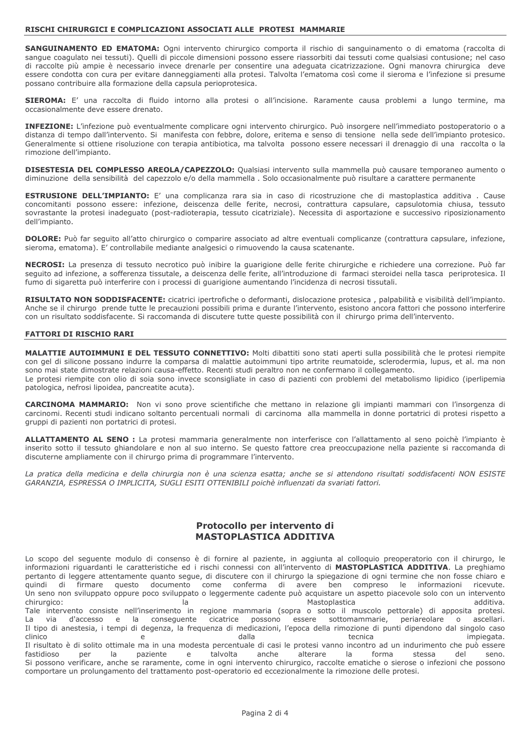#### RISCHI CHIRURGICI E COMPLICAZIONI ASSOCIATI ALLE PROTESI MAMMARIE

SANGUINAMENTO ED EMATOMA: Ogni intervento chirurgico comporta il rischio di sanguinamento o di ematoma (raccolta di sangue coagulato nei tessuti). Quelli di piccole dimensioni possono essere riassorbiti dai tessuti come qualsiasi contusione; nel caso di raccolte più ampie è necessario invece drenarle per consentire una adeguata cicatrizzazione. Ogni manovra chirurgica deve essere condotta con cura per evitare danneggiamenti alla protesi. Talvolta l'ematoma così come il sieroma e l'infezione si presume possano contribuire alla formazione della capsula perioprotesica.

SIEROMA: E' una raccolta di fluido intorno alla protesi o all'incisione. Raramente causa problemi a lungo termine, ma occasionalmente deve essere drenato.

INFEZIONE: L'infezione può eventualmente complicare ogni intervento chirurgico. Può insorgere nell'immediato postoperatorio o a distanza di tempo dall'intervento. Si manifesta con febbre, dolore, eritema e senso di tensione nella sede dell'impianto protesico. Generalmente si ottiene risoluzione con terapia antibiotica, ma talvolta possono essere necessari il drenaggio di una raccolta o la rimozione dell'impianto.

DISESTESIA DEL COMPLESSO AREOLA/CAPEZZOLO: Qualsiasi intervento sulla mammella può causare temporaneo aumento o diminuzione della sensibilità del capezzolo e/o della mammella. Solo occasionalmente può risultare a carattere permanente

**ESTRUSIONE DELL'IMPIANTO:** E' una complicanza rara sia in caso di ricostruzione che di mastoplastica additiva. Cause concomitanti possono essere: infezione, deiscenza delle ferite, necrosi, contrattura capsulare, capsulotomia chiusa, tessuto sovrastante la protesi inadeguato (post-radioterapia, tessuto cicatriziale). Necessita di asportazione e successivo riposizionamento dell'impianto.

DOLORE: Può far seguito all'atto chirurgico o comparire associato ad altre eventuali complicanze (contrattura capsulare, infezione, sieroma, ematoma). E' controllabile mediante analgesici o rimuovendo la causa scatenante.

NECROSI: La presenza di tessuto necrotico può inibire la quarigione delle ferite chirurgiche e richiedere una correzione. Può far seguito ad infezione, a sofferenza tissutale, a deiscenza delle ferite, all'introduzione di farmaci steroidei nella tasca periprotesica. Il fumo di sigaretta può interferire con i processi di guarigione aumentando l'incidenza di necrosi tissutali.

RISULTATO NON SODDISFACENTE: cicatrici ipertrofiche o deformanti, dislocazione protesica, palpabilità e visibilità dell'impianto. Anche se il chirurgo prende tutte le precauzioni possibili prima e durante l'intervento, esistono ancora fattori che possono interferire con un risultato soddisfacente. Si raccomanda di discutere tutte queste possibilità con il chirurgo prima dell'intervento.

### **FATTORI DI RISCHIO RARI**

MALATTIE AUTOIMMUNI E DEL TESSUTO CONNETTIVO: Molti dibattiti sono stati aperti sulla possibilità che le protesi riempite con gel di silicone possano indurre la comparsa di malattie autoimmuni tipo artrite reumatoide, sclerodermia, lupus, et al. ma non sono mai state dimostrate relazioni causa-effetto. Recenti studi peraltro non ne confermano il collegamento. Le protesi riempite con olio di soia sono invece sconsigliate in caso di pazienti con problemi del metabolismo lipidico (iperlipemia patologica, nefrosi lipoidea, pancreatite acuta).

**CARCINOMA MAMMARIO:** Non vi sono prove scientifiche che mettano in relazione gli impianti mammari con l'insorgenza di carcinomi. Recenti studi indicano soltanto percentuali normali di carcinoma alla mammella in donne portatrici di protesi rispetto a gruppi di pazienti non portatrici di protesi.

ALLATTAMENTO AL SENO : La protesi mammaria generalmente non interferisce con l'allattamento al seno poichè l'impianto è inserito sotto il tessuto ghiandolare e non al suo interno. Se questo fattore crea preoccupazione nella paziente si raccomanda di discuterne ampliamente con il chirurgo prima di programmare l'intervento.

La pratica della medicina e della chirurgia non è una scienza esatta; anche se si attendono risultati soddisfacenti NON ESISTE GARANZIA, ESPRESSA O IMPLICITA, SUGLI ESITI OTTENIBILI poichè influenzati da svariati fattori.

# Protocollo per intervento di **MASTOPLASTICA ADDITIVA**

Lo scopo del seguente modulo di consenso è di fornire al paziente, in aggiunta al colloquio preoperatorio con il chirurgo, le informazioni riquardanti le caratteristiche ed i rischi connessi con all'intervento di MASTOPLASTICA ADDITIVA. La preghiamo pertanto di leggere attentamente quanto segue, di discutere con il chirurgo la spiegazione di ogni termine che non fosse chiaro e quindi firmare documento come conferma di avere ben informazioni di questo compreso  $|e|$ ricevute. Un seno non sviluppato oppure poco sviluppato o leggermente cadente può acquistare un aspetto piacevole solo con un intervento chirurgico:  $|a|$ Mastoplastica additiva Tale intervento consiste nell'inserimento in regione mammaria (sopra o sotto il muscolo pettorale) di apposita protesi. sottomammarie, La via d'accesso e la conseguente cicatrice possono essere periareolare  $\circ$ ascellari. Il tipo di anestesia, i tempi di degenza, la frequenza di medicazioni, l'epoca della rimozione di punti dipendono dal singolo caso clinico dalla tecnica impiegata. e Il risultato è di solito ottimale ma in una modesta percentuale di casi le protesi vanno incontro ad un indurimento che può essere per paziente fastidioso la  $\mathsf{e}% _{0}\left( \mathsf{e}\right)$ talvolta anche alterare la forma stessa del seno. Si possono verificare, anche se raramente, come in ogni intervento chirurgico, raccolte ematiche o sierose o infezioni che possono comportare un prolungamento del trattamento post-operatorio ed eccezionalmente la rimozione delle protesi.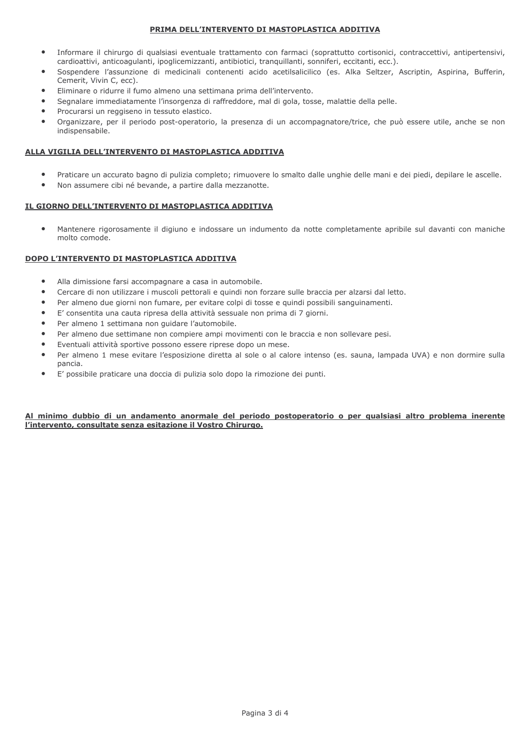### PRIMA DELL'INTERVENTO DI MASTOPLASTICA ADDITIVA

- Informare il chirurgo di qualsiasi eventuale trattamento con farmaci (soprattutto cortisonici, contraccettivi, antipertensivi, cardioattivi, anticoagulanti, ipoglicemizzanti, antibiotici, tranquillanti, sonniferi, eccitanti, ecc.).
- Sospendere l'assunzione di medicinali contenenti acido acetilsalicilico (es. Alka Seltzer, Ascriptin, Aspirina, Bufferin,  $\bullet$ Cemerit, Vivin C, ecc).
- Eliminare o ridurre il fumo almeno una settimana prima dell'intervento.
- Segnalare immediatamente l'insorgenza di raffreddore, mal di gola, tosse, malattie della pelle.
- Procurarsi un reggiseno in tessuto elastico.
- Organizzare, per il periodo post-operatorio, la presenza di un accompagnatore/trice, che può essere utile, anche se non  $\bullet$ indispensabile.

# ALLA VIGILIA DELL'INTERVENTO DI MASTOPLASTICA ADDITIVA

- Praticare un accurato bagno di pulizia completo; rimuovere lo smalto dalle unghie delle mani e dei piedi, depilare le ascelle.
- Non assumere cibi né bevande, a partire dalla mezzanotte.  $\bullet$

# IL GIORNO DELL'INTERVENTO DI MASTOPLASTICA ADDITIVA

Mantenere rigorosamente il digiuno e indossare un indumento da notte completamente apribile sul davanti con maniche molto comode.

# DOPO L'INTERVENTO DI MASTOPLASTICA ADDITIVA

- Alla dimissione farsi accompagnare a casa in automobile.
- $\blacksquare$ Cercare di non utilizzare i muscoli pettorali e quindi non forzare sulle braccia per alzarsi dal letto.
- Per almeno due giorni non fumare, per evitare colpi di tosse e quindi possibili sanguinamenti.
- E' consentita una cauta ripresa della attività sessuale non prima di 7 giorni.
- Per almeno 1 settimana non guidare l'automobile.
- Per almeno due settimane non compiere ampi movimenti con le braccia e non sollevare pesi.
- Eventuali attività sportive possono essere riprese dopo un mese.
- Per almeno 1 mese evitare l'esposizione diretta al sole o al calore intenso (es. sauna, lampada UVA) e non dormire sulla pancia.
- E' possibile praticare una doccia di pulizia solo dopo la rimozione dei punti.

### Al minimo dubbio di un andamento anormale del periodo postoperatorio o per qualsiasi altro problema inerente l'intervento, consultate senza esitazione il Vostro Chirurgo.